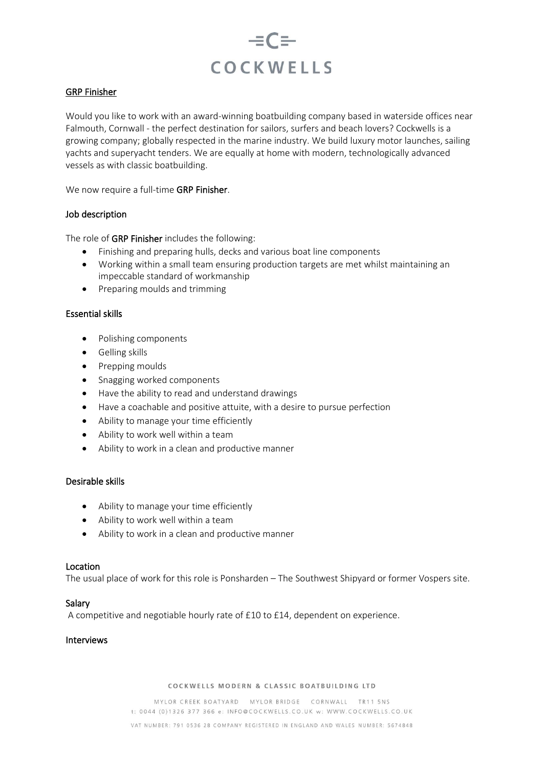

## GRP Finisher

Would you like to work with an award-winning boatbuilding company based in waterside offices near Falmouth, Cornwall - the perfect destination for sailors, surfers and beach lovers? Cockwells is a growing company; globally respected in the marine industry. We build luxury motor launches, sailing yachts and superyacht tenders. We are equally at home with modern, technologically advanced vessels as with classic boatbuilding.

We now require a full-time GRP Finisher.

### Job description

The role of GRP Finisher includes the following:

- Finishing and preparing hulls, decks and various boat line components
- Working within a small team ensuring production targets are met whilst maintaining an impeccable standard of workmanship
- Preparing moulds and trimming

# Essential skills

- Polishing components
- Gelling skills
- Prepping moulds
- Snagging worked components
- Have the ability to read and understand drawings
- Have a coachable and positive attuite, with a desire to pursue perfection
- Ability to manage your time efficiently
- Ability to work well within a team
- Ability to work in a clean and productive manner

### Desirable skills

- Ability to manage your time efficiently
- Ability to work well within a team
- Ability to work in a clean and productive manner

### Location

The usual place of work for this role is Ponsharden – The Southwest Shipyard or former Vospers site.

### Salary

A competitive and negotiable hourly rate of £10 to £14, dependent on experience.

# Interviews

#### COCKWELLS MODERN & CLASSIC BOATBUILDING LTD

MYLOR CREEK BOATYARD MYLOR BRIDGE CORNWALL TR11 5NS t: 0044 (0)1326 377 366 e: INFO@COCKWELLS.CO.UK w: WWW.COCKWELLS.CO.UK VAT NUMBER: 791 0536 28 COMPANY REGISTERED IN ENGLAND AND WALES NUMBER: 5674848